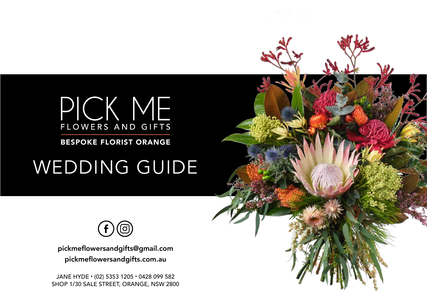

BESPOKE FLORIST ORANGE

# WEDDING GUIDE



pickmeflowersandgifts@gmail.com pickmeflowersandgifts.com.au

JANE HYDE • (02) 5353 1205 • 0428 099 582 SHOP 1/30 SALE STREET, ORANGE, NSW 2800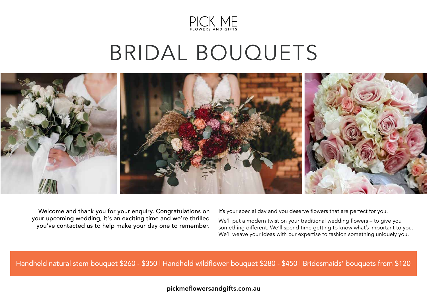

# BRIDAL BOUQUETS



Welcome and thank you for your enquiry. Congratulations on your upcoming wedding, it's an exciting time and we're thrilled you've contacted us to help make your day one to remember. It's your special day and you deserve flowers that are perfect for you.

We'll put a modern twist on your traditional wedding flowers – to give you something different. We'll spend time getting to know what's important to you. We'll weave your ideas with our expertise to fashion something uniquely you.

Handheld natural stem bouquet \$260 - \$350 | Handheld wildflower bouquet \$280 - \$450 | Bridesmaids' bouquets from \$120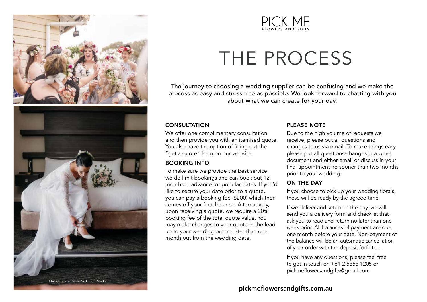



# THE PROCESS

The journey to choosing a wedding supplier can be confusing and we make the process as easy and stress free as possible. We look forward to chatting with you about what we can create for your day.

### **CONSULTATION**

We offer one complimentary consultation and then provide you with an itemised quote. You also have the option of filling out the "get a quote" form on our website.

## BOOKING INFO

To make sure we provide the best service we do limit bookings and can book out 12 months in advance for popular dates. If you'd like to secure your date prior to a quote, you can pay a booking fee (\$200) which then comes off your final balance. Alternatively, upon receiving a quote, we require a 20% booking fee of the total quote value. You may make changes to your quote in the lead up to your wedding but no later than one month out from the wedding date.

## PLEASE NOTE

Due to the high volume of requests we receive, please put all questions and changes to us via email. To make things easy please put all questions/changes in a word document and either email or discuss in your final appointment no sooner than two months prior to your wedding.

## ON THE DAY

If you choose to pick up your wedding florals, these will be ready by the agreed time.

If we deliver and setup on the day, we will send you a delivery form and checklist that I ask you to read and return no later than one week prior. All balances of payment are due one month before your date. Non-payment of the balance will be an automatic cancellation of your order with the deposit forfeited.

If you have any questions, please feel free to get in touch on +61 2 5353 1205 or pickmeflowersandgifts@gmail.com.